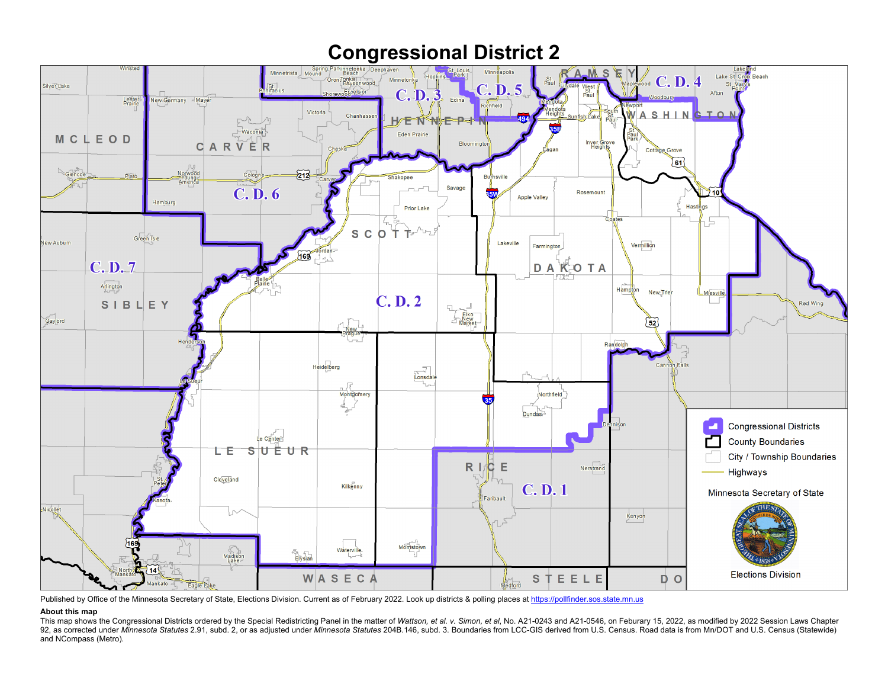

Published by Office of the Minnesota Secretary of State, Elections Division. Current as of February 2022. Look up districts & polling places a[t https://pollfinder.sos.state.mn.us](https://pollfinder.sos.state.mn.us/)

## **About this map**

This map shows the Congressional Districts ordered by the Special Redistricting Panel in the matter of Wattson, et al. v. Simon, et al, No. A21-0243 and A21-0546, on Feburary 15, 2022, as modified by 2022 Session Laws Chap 92, as corrected under Minnesota Statutes 2.91, subd. 2, or as adjusted under Minnesota Statutes 204B.146, subd. 3. Boundaries from LCC-GIS derived from U.S. Census. Road data is from Mn/DOT and U.S. Census (Statewide) and NCompass (Metro).